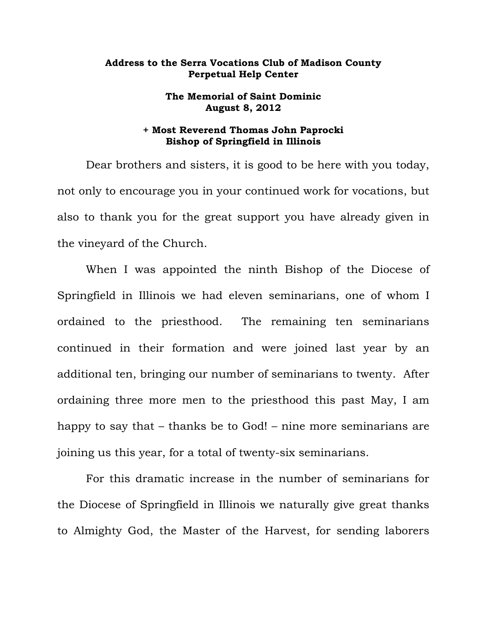## **Address to the Serra Vocations Club of Madison County Perpetual Help Center**

## **The Memorial of Saint Dominic August 8, 2012**

## **+ Most Reverend Thomas John Paprocki Bishop of Springfield in Illinois**

Dear brothers and sisters, it is good to be here with you today, not only to encourage you in your continued work for vocations, but also to thank you for the great support you have already given in the vineyard of the Church.

When I was appointed the ninth Bishop of the Diocese of Springfield in Illinois we had eleven seminarians, one of whom I ordained to the priesthood. The remaining ten seminarians continued in their formation and were joined last year by an additional ten, bringing our number of seminarians to twenty. After ordaining three more men to the priesthood this past May, I am happy to say that – thanks be to God! – nine more seminarians are joining us this year, for a total of twenty-six seminarians.

For this dramatic increase in the number of seminarians for the Diocese of Springfield in Illinois we naturally give great thanks to Almighty God, the Master of the Harvest, for sending laborers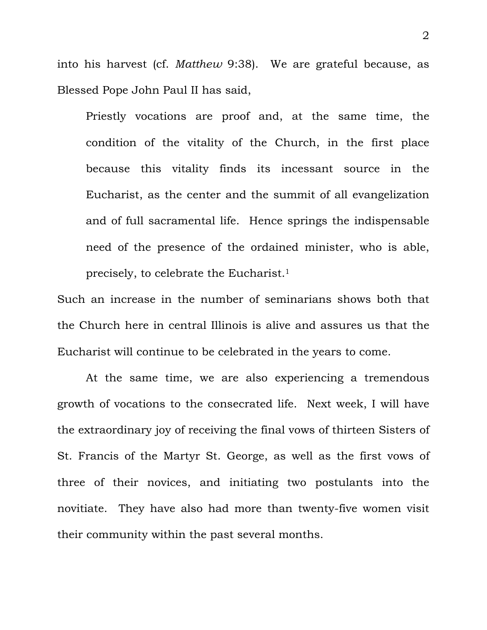into his harvest (cf. *Matthew* 9:38). We are grateful because, as Blessed Pope John Paul II has said,

Priestly vocations are proof and, at the same time, the condition of the vitality of the Church, in the first place because this vitality finds its incessant source in the Eucharist, as the center and the summit of all evangelization and of full sacramental life. Hence springs the indispensable need of the presence of the ordained minister, who is able, precisely, to celebrate the Eucharist.1

Such an increase in the number of seminarians shows both that the Church here in central Illinois is alive and assures us that the Eucharist will continue to be celebrated in the years to come.

 At the same time, we are also experiencing a tremendous growth of vocations to the consecrated life. Next week, I will have the extraordinary joy of receiving the final vows of thirteen Sisters of St. Francis of the Martyr St. George, as well as the first vows of three of their novices, and initiating two postulants into the novitiate. They have also had more than twenty-five women visit their community within the past several months.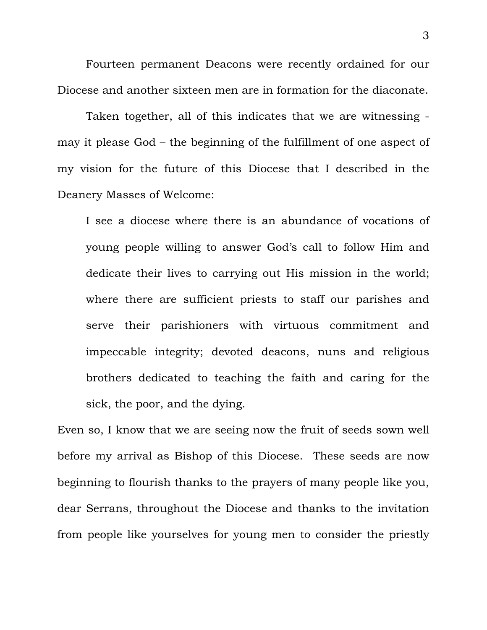Fourteen permanent Deacons were recently ordained for our Diocese and another sixteen men are in formation for the diaconate.

 Taken together, all of this indicates that we are witnessing may it please God – the beginning of the fulfillment of one aspect of my vision for the future of this Diocese that I described in the Deanery Masses of Welcome:

I see a diocese where there is an abundance of vocations of young people willing to answer God's call to follow Him and dedicate their lives to carrying out His mission in the world; where there are sufficient priests to staff our parishes and serve their parishioners with virtuous commitment and impeccable integrity; devoted deacons, nuns and religious brothers dedicated to teaching the faith and caring for the sick, the poor, and the dying.

Even so, I know that we are seeing now the fruit of seeds sown well before my arrival as Bishop of this Diocese. These seeds are now beginning to flourish thanks to the prayers of many people like you, dear Serrans, throughout the Diocese and thanks to the invitation from people like yourselves for young men to consider the priestly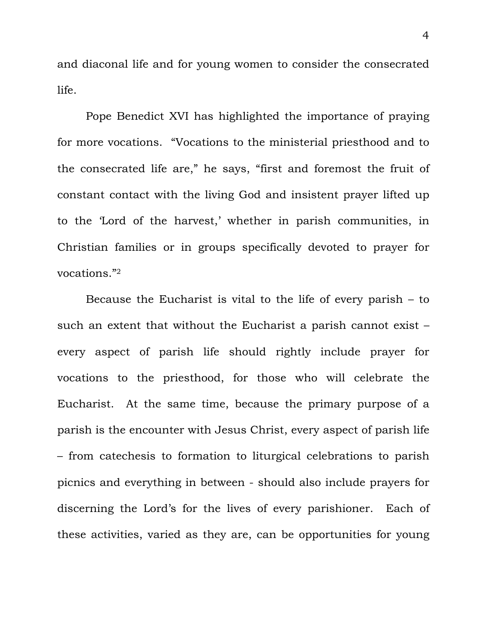and diaconal life and for young women to consider the consecrated life.

 Pope Benedict XVI has highlighted the importance of praying for more vocations. "Vocations to the ministerial priesthood and to the consecrated life are," he says, "first and foremost the fruit of constant contact with the living God and insistent prayer lifted up to the 'Lord of the harvest,' whether in parish communities, in Christian families or in groups specifically devoted to prayer for vocations."2

Because the Eucharist is vital to the life of every parish – to such an extent that without the Eucharist a parish cannot exist – every aspect of parish life should rightly include prayer for vocations to the priesthood, for those who will celebrate the Eucharist. At the same time, because the primary purpose of a parish is the encounter with Jesus Christ, every aspect of parish life – from catechesis to formation to liturgical celebrations to parish picnics and everything in between - should also include prayers for discerning the Lord's for the lives of every parishioner. Each of these activities, varied as they are, can be opportunities for young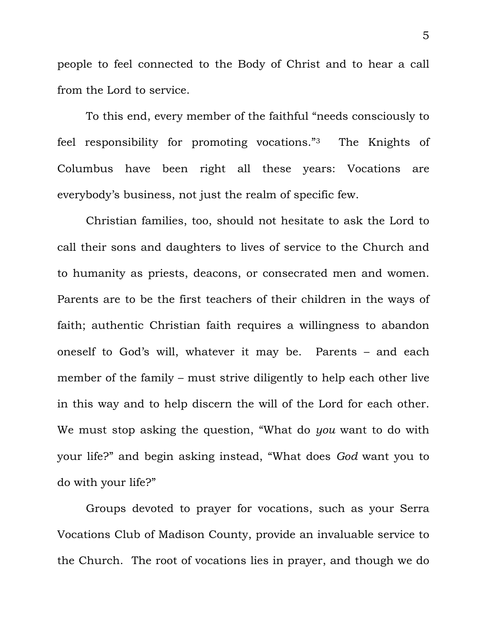people to feel connected to the Body of Christ and to hear a call from the Lord to service.

To this end, every member of the faithful "needs consciously to feel responsibility for promoting vocations."3 The Knights of Columbus have been right all these years: Vocations are everybody's business, not just the realm of specific few.

Christian families, too, should not hesitate to ask the Lord to call their sons and daughters to lives of service to the Church and to humanity as priests, deacons, or consecrated men and women. Parents are to be the first teachers of their children in the ways of faith; authentic Christian faith requires a willingness to abandon oneself to God's will, whatever it may be. Parents – and each member of the family – must strive diligently to help each other live in this way and to help discern the will of the Lord for each other. We must stop asking the question, "What do *you* want to do with your life?" and begin asking instead, "What does *God* want you to do with your life?"

Groups devoted to prayer for vocations, such as your Serra Vocations Club of Madison County, provide an invaluable service to the Church. The root of vocations lies in prayer, and though we do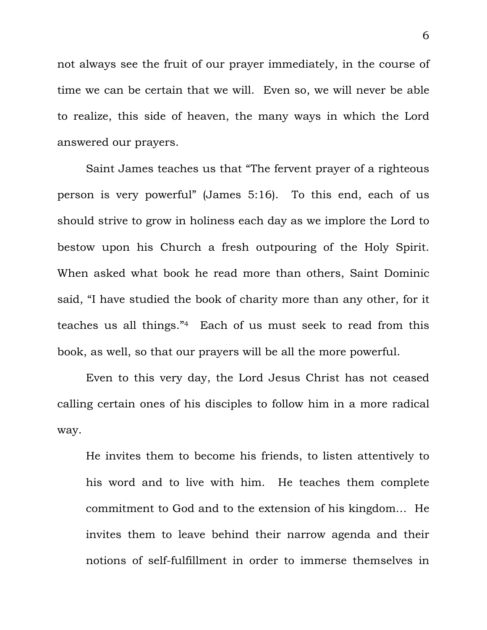not always see the fruit of our prayer immediately, in the course of time we can be certain that we will. Even so, we will never be able to realize, this side of heaven, the many ways in which the Lord answered our prayers.

Saint James teaches us that "The fervent prayer of a righteous person is very powerful" (James 5:16). To this end, each of us should strive to grow in holiness each day as we implore the Lord to bestow upon his Church a fresh outpouring of the Holy Spirit. When asked what book he read more than others, Saint Dominic said, "I have studied the book of charity more than any other, for it teaches us all things."4 Each of us must seek to read from this book, as well, so that our prayers will be all the more powerful.

 Even to this very day, the Lord Jesus Christ has not ceased calling certain ones of his disciples to follow him in a more radical way.

He invites them to become his friends, to listen attentively to his word and to live with him. He teaches them complete commitment to God and to the extension of his kingdom… He invites them to leave behind their narrow agenda and their notions of self-fulfillment in order to immerse themselves in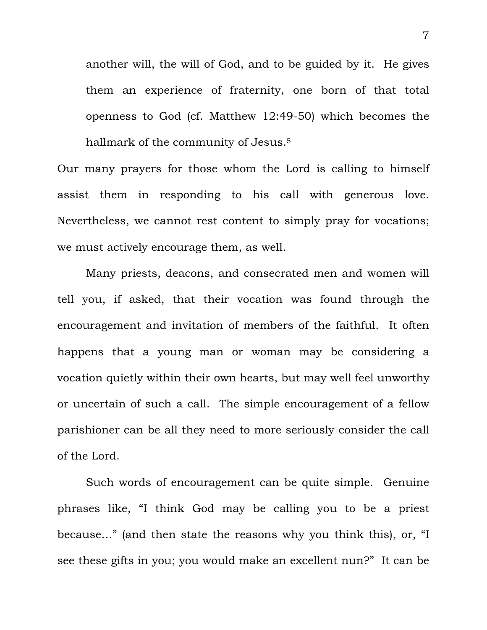another will, the will of God, and to be guided by it. He gives them an experience of fraternity, one born of that total openness to God (cf. Matthew 12:49-50) which becomes the hallmark of the community of Jesus.<sup>5</sup>

Our many prayers for those whom the Lord is calling to himself assist them in responding to his call with generous love. Nevertheless, we cannot rest content to simply pray for vocations; we must actively encourage them, as well.

 Many priests, deacons, and consecrated men and women will tell you, if asked, that their vocation was found through the encouragement and invitation of members of the faithful. It often happens that a young man or woman may be considering a vocation quietly within their own hearts, but may well feel unworthy or uncertain of such a call. The simple encouragement of a fellow parishioner can be all they need to more seriously consider the call of the Lord.

 Such words of encouragement can be quite simple. Genuine phrases like, "I think God may be calling you to be a priest because…" (and then state the reasons why you think this), or, "I see these gifts in you; you would make an excellent nun?" It can be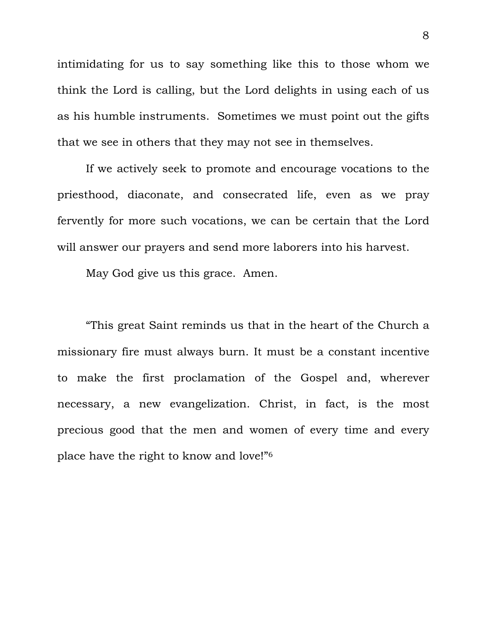intimidating for us to say something like this to those whom we think the Lord is calling, but the Lord delights in using each of us as his humble instruments. Sometimes we must point out the gifts that we see in others that they may not see in themselves.

 If we actively seek to promote and encourage vocations to the priesthood, diaconate, and consecrated life, even as we pray fervently for more such vocations, we can be certain that the Lord will answer our prayers and send more laborers into his harvest.

May God give us this grace. Amen.

"This great Saint reminds us that in the heart of the Church a missionary fire must always burn. It must be a constant incentive to make the first proclamation of the Gospel and, wherever necessary, a new evangelization. Christ, in fact, is the most precious good that the men and women of every time and every place have the right to know and love!"6